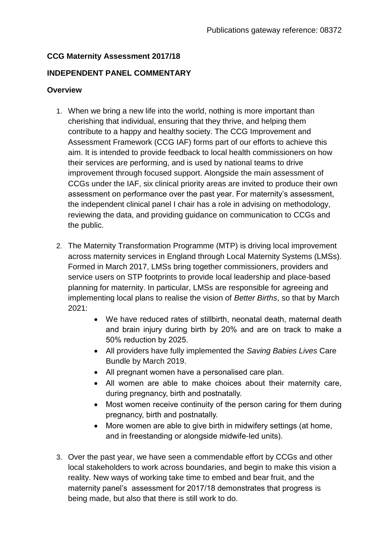### **CCG Maternity Assessment 2017/18**

### **INDEPENDENT PANEL COMMENTARY**

#### **Overview**

- 1. When we bring a new life into the world, nothing is more important than cherishing that individual, ensuring that they thrive, and helping them contribute to a happy and healthy society. The CCG Improvement and Assessment Framework (CCG IAF) forms part of our efforts to achieve this aim. It is intended to provide feedback to local health commissioners on how their services are performing, and is used by national teams to drive improvement through focused support. Alongside the main assessment of CCGs under the IAF, six clinical priority areas are invited to produce their own assessment on performance over the past year. For maternity's assessment, the independent clinical panel I chair has a role in advising on methodology, reviewing the data, and providing guidance on communication to CCGs and the public.
- 2. The Maternity Transformation Programme (MTP) is driving local improvement across maternity services in England through Local Maternity Systems (LMSs). Formed in March 2017, LMSs bring together commissioners, providers and service users on STP footprints to provide local leadership and place-based planning for maternity. In particular, LMSs are responsible for agreeing and implementing local plans to realise the vision of *Better Births*, so that by March 2021:
	- We have reduced rates of stillbirth, neonatal death, maternal death and brain injury during birth by 20% and are on track to make a 50% reduction by 2025.
	- All providers have fully implemented the *Saving Babies Lives* Care Bundle by March 2019.
	- All pregnant women have a personalised care plan.
	- All women are able to make choices about their maternity care, during pregnancy, birth and postnatally.
	- Most women receive continuity of the person caring for them during pregnancy, birth and postnatally.
	- More women are able to give birth in midwifery settings (at home, and in freestanding or alongside midwife-led units).
- 3. Over the past year, we have seen a commendable effort by CCGs and other local stakeholders to work across boundaries, and begin to make this vision a reality. New ways of working take time to embed and bear fruit, and the maternity panel's assessment for 2017/18 demonstrates that progress is being made, but also that there is still work to do.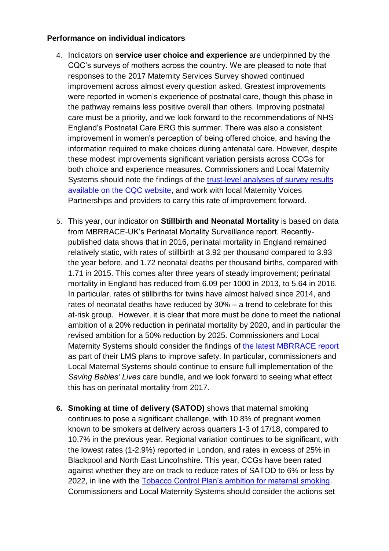### **Performance on individual indicators**

- 4. Indicators on **service user choice and experience** are underpinned by the CQC's surveys of mothers across the country. We are pleased to note that responses to the 2017 Maternity Services Survey showed continued improvement across almost every question asked. Greatest improvements were reported in women's experience of postnatal care, though this phase in the pathway remains less positive overall than others. Improving postnatal care must be a priority, and we look forward to the recommendations of NHS England's Postnatal Care ERG this summer. There was also a consistent improvement in women's perception of being offered choice, and having the information required to make choices during antenatal care. However, despite these modest improvements significant variation persists across CCGs for both choice and experience measures. Commissioners and Local Maternity Systems should note the findings of the [trust-level analyses of survey results](https://www.cqc.org.uk/publications/surveys/maternity-services-survey-2017)  [available on the CQC website,](https://www.cqc.org.uk/publications/surveys/maternity-services-survey-2017) and work with local Maternity Voices Partnerships and providers to carry this rate of improvement forward.
- 5. This year, our indicator on **Stillbirth and Neonatal Mortality** is based on data from MBRRACE-UK's Perinatal Mortality Surveillance report. Recentlypublished data shows that in 2016, perinatal mortality in England remained relatively static, with rates of stillbirth at 3.92 per thousand compared to 3.93 the year before, and 1.72 neonatal deaths per thousand births, compared with 1.71 in 2015. This comes after three years of steady improvement; perinatal mortality in England has reduced from 6.09 per 1000 in 2013, to 5.64 in 2016. In particular, rates of stillbirths for twins have almost halved since 2014, and rates of neonatal deaths have reduced by 30% – a trend to celebrate for this at-risk group. However, it is clear that more must be done to meet the national ambition of a 20% reduction in perinatal mortality by 2020, and in particular the revised ambition for a 50% reduction by 2025. Commissioners and Local Maternity Systems should consider the findings of [the latest MBRRACE report](https://www.npeu.ox.ac.uk/downloads/files/mbrrace-uk/reports/MBRRACE-UK%20Perinatal%20Surveillance%20Full%20Report%20for%202016%20-%20June%202018.pdf) as part of their LMS plans to improve safety. In particular, commissioners and Local Maternal Systems should continue to ensure full implementation of the *Saving Babies' Lives* care bundle, and we look forward to seeing what effect this has on perinatal mortality from 2017.
- **6. Smoking at time of delivery (SATOD)** shows that maternal smoking continues to pose a significant challenge, with 10.8% of pregnant women known to be smokers at delivery across quarters 1-3 of 17/18, compared to 10.7% in the previous year. Regional variation continues to be significant, with the lowest rates (1-2.9%) reported in London, and rates in excess of 25% in Blackpool and North East Lincolnshire. This year, CCGs have been rated against whether they are on track to reduce rates of SATOD to 6% or less by 2022, in line with the [Tobacco Control Plan's ambition for maternal smoking.](https://assets.publishing.service.gov.uk/government/uploads/system/uploads/attachment_data/file/630217/Towards_a_Smoke_free_Generation_-_A_Tobacco_Control_Plan_for_England_2017-2022__2_.pdf) Commissioners and Local Maternity Systems should consider the actions set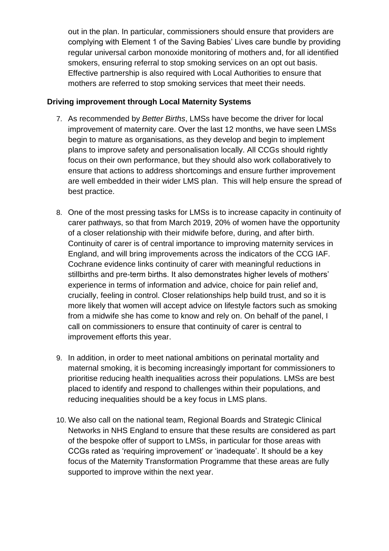out in the plan. In particular, commissioners should ensure that providers are complying with Element 1 of the Saving Babies' Lives care bundle by providing regular universal carbon monoxide monitoring of mothers and, for all identified smokers, ensuring referral to stop smoking services on an opt out basis. Effective partnership is also required with Local Authorities to ensure that mothers are referred to stop smoking services that meet their needs.

### **Driving improvement through Local Maternity Systems**

- 7. As recommended by *Better Births*, LMSs have become the driver for local improvement of maternity care. Over the last 12 months, we have seen LMSs begin to mature as organisations, as they develop and begin to implement plans to improve safety and personalisation locally. All CCGs should rightly focus on their own performance, but they should also work collaboratively to ensure that actions to address shortcomings and ensure further improvement are well embedded in their wider LMS plan. This will help ensure the spread of best practice.
- 8. One of the most pressing tasks for LMSs is to increase capacity in continuity of carer pathways, so that from March 2019, 20% of women have the opportunity of a closer relationship with their midwife before, during, and after birth. Continuity of carer is of central importance to improving maternity services in England, and will bring improvements across the indicators of the CCG IAF. Cochrane evidence links continuity of carer with meaningful reductions in stillbirths and pre-term births. It also demonstrates higher levels of mothers' experience in terms of information and advice, choice for pain relief and, crucially, feeling in control. Closer relationships help build trust, and so it is more likely that women will accept advice on lifestyle factors such as smoking from a midwife she has come to know and rely on. On behalf of the panel, I call on commissioners to ensure that continuity of carer is central to improvement efforts this year.
- 9. In addition, in order to meet national ambitions on perinatal mortality and maternal smoking, it is becoming increasingly important for commissioners to prioritise reducing health inequalities across their populations. LMSs are best placed to identify and respond to challenges within their populations, and reducing inequalities should be a key focus in LMS plans.
- 10. We also call on the national team, Regional Boards and Strategic Clinical Networks in NHS England to ensure that these results are considered as part of the bespoke offer of support to LMSs, in particular for those areas with CCGs rated as 'requiring improvement' or 'inadequate'. It should be a key focus of the Maternity Transformation Programme that these areas are fully supported to improve within the next year.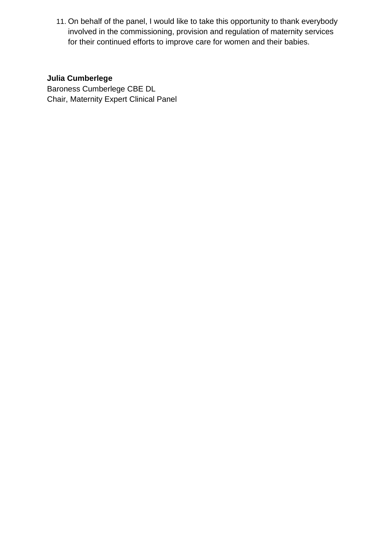11. On behalf of the panel, I would like to take this opportunity to thank everybody involved in the commissioning, provision and regulation of maternity services for their continued efforts to improve care for women and their babies.

## **Julia Cumberlege**

Baroness Cumberlege CBE DL Chair, Maternity Expert Clinical Panel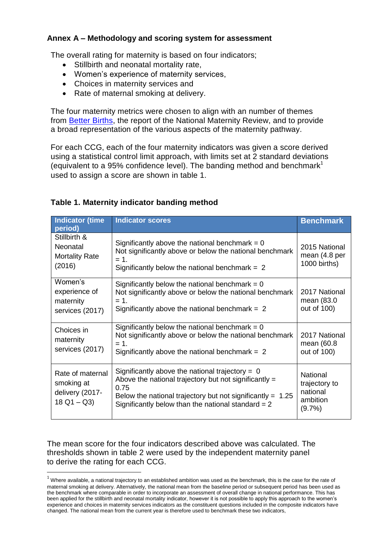### **Annex A – Methodology and scoring system for assessment**

The overall rating for maternity is based on four indicators;

- Stillbirth and neonatal mortality rate,
- Women's experience of maternity services,
- Choices in maternity services and
- Rate of maternal smoking at delivery.

The four maternity metrics were chosen to align with an number of themes from [Better Births,](https://www.england.nhs.uk/wp-content/uploads/2016/02/national-maternity-review-report.pdf) the report of the National Maternity Review, and to provide a broad representation of the various aspects of the maternity pathway.

For each CCG, each of the four maternity indicators was given a score derived using a statistical control limit approach, with limits set at 2 standard deviations (equivalent to a 95% confidence level). The banding method and benchmark<sup>1</sup> used to assign a score are shown in table 1.

| <b>Indicator (time</b><br>period)                                  | <b>Indicator scores</b>                                                                                                                                                                                                                      | <b>Benchmark</b>                                                      |
|--------------------------------------------------------------------|----------------------------------------------------------------------------------------------------------------------------------------------------------------------------------------------------------------------------------------------|-----------------------------------------------------------------------|
| Stillbirth &<br>Neonatal<br><b>Mortality Rate</b><br>(2016)        | Significantly above the national benchmark = $0$<br>Not significantly above or below the national benchmark<br>$= 1.$<br>Significantly below the national benchmark = $2$                                                                    | 2015 National<br>mean (4.8 per<br>1000 births)                        |
| Women's<br>experience of<br>maternity<br>services (2017)           | Significantly below the national benchmark = $0$<br>Not significantly above or below the national benchmark<br>$= 1.$<br>Significantly above the national benchmark = $2$                                                                    | 2017 National<br>mean (83.0<br>out of 100)                            |
| Choices in<br>maternity<br>services (2017)                         | Significantly below the national benchmark = $0$<br>Not significantly above or below the national benchmark<br>$= 1.$<br>Significantly above the national benchmark = $2$                                                                    | 2017 National<br>mean (60.8<br>out of 100)                            |
| Rate of maternal<br>smoking at<br>delivery (2017-<br>$18$ Q1 – Q3) | Significantly above the national trajectory = $0$<br>Above the national trajectory but not significantly $=$<br>0.75<br>Below the national trajectory but not significantly = $1.25$<br>Significantly below than the national standard $= 2$ | <b>National</b><br>trajectory to<br>national<br>ambition<br>$(9.7\%)$ |

### **Table 1. Maternity indicator banding method**

The mean score for the four indicators described above was calculated. The thresholds shown in table 2 were used by the independent maternity panel to derive the rating for each CCG.

**.** 

 $1$  Where available, a national trajectory to an established ambition was used as the benchmark, this is the case for the rate of maternal smoking at delivery. Alternatively, the national mean from the baseline period or subsequent period has been used as the benchmark where comparable in order to incorporate an assessment of overall change in national performance. This has been applied for the stillbirth and neonatal mortality indicator, however it is not possible to apply this approach to the women's experience and choices in maternity services indicators as the constituent questions included in the composite indicators have changed. The national mean from the current year is therefore used to benchmark these two indicators,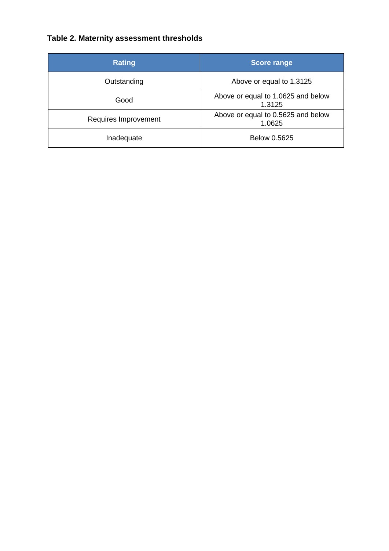# **Table 2. Maternity assessment thresholds**

| <b>Rating</b>        | <b>Score range</b>                           |
|----------------------|----------------------------------------------|
| Outstanding          | Above or equal to 1.3125                     |
| Good                 | Above or equal to 1.0625 and below<br>1.3125 |
| Requires Improvement | Above or equal to 0.5625 and below<br>1.0625 |
| Inadequate           | Below 0.5625                                 |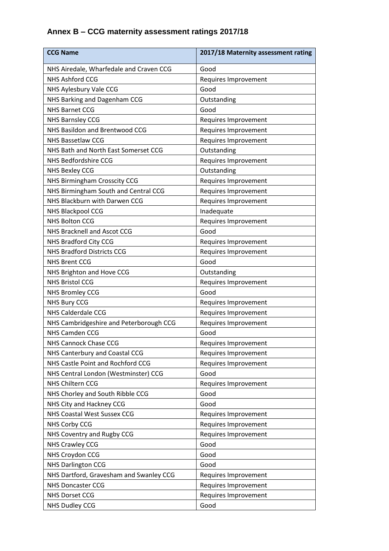# **Annex B – CCG maternity assessment ratings 2017/18**

| <b>CCG Name</b>                         | 2017/18 Maternity assessment rating |
|-----------------------------------------|-------------------------------------|
| NHS Airedale, Wharfedale and Craven CCG | Good                                |
| <b>NHS Ashford CCG</b>                  | Requires Improvement                |
| NHS Aylesbury Vale CCG                  | Good                                |
| NHS Barking and Dagenham CCG            | Outstanding                         |
| <b>NHS Barnet CCG</b>                   | Good                                |
| <b>NHS Barnsley CCG</b>                 | Requires Improvement                |
| NHS Basildon and Brentwood CCG          | Requires Improvement                |
| <b>NHS Bassetlaw CCG</b>                | Requires Improvement                |
| NHS Bath and North East Somerset CCG    | Outstanding                         |
| <b>NHS Bedfordshire CCG</b>             | Requires Improvement                |
| <b>NHS Bexley CCG</b>                   | Outstanding                         |
| NHS Birmingham Crosscity CCG            | Requires Improvement                |
| NHS Birmingham South and Central CCG    | Requires Improvement                |
| NHS Blackburn with Darwen CCG           | Requires Improvement                |
| NHS Blackpool CCG                       | Inadequate                          |
| <b>NHS Bolton CCG</b>                   | Requires Improvement                |
| NHS Bracknell and Ascot CCG             | Good                                |
| NHS Bradford City CCG                   | Requires Improvement                |
| <b>NHS Bradford Districts CCG</b>       | Requires Improvement                |
| <b>NHS Brent CCG</b>                    | Good                                |
| NHS Brighton and Hove CCG               | Outstanding                         |
| <b>NHS Bristol CCG</b>                  | Requires Improvement                |
| <b>NHS Bromley CCG</b>                  | Good                                |
| <b>NHS Bury CCG</b>                     | Requires Improvement                |
| <b>NHS Calderdale CCG</b>               | Requires Improvement                |
| NHS Cambridgeshire and Peterborough CCG | Requires Improvement                |
| <b>NHS Camden CCG</b>                   | Good                                |
| <b>NHS Cannock Chase CCG</b>            | Requires Improvement                |
| NHS Canterbury and Coastal CCG          | Requires Improvement                |
| NHS Castle Point and Rochford CCG       | Requires Improvement                |
| NHS Central London (Westminster) CCG    | Good                                |
| <b>NHS Chiltern CCG</b>                 | Requires Improvement                |
| NHS Chorley and South Ribble CCG        | Good                                |
| NHS City and Hackney CCG                | Good                                |
| NHS Coastal West Sussex CCG             | Requires Improvement                |
| <b>NHS Corby CCG</b>                    | Requires Improvement                |
| NHS Coventry and Rugby CCG              | Requires Improvement                |
| <b>NHS Crawley CCG</b>                  | Good                                |
| NHS Croydon CCG                         | Good                                |
| <b>NHS Darlington CCG</b>               | Good                                |
| NHS Dartford, Gravesham and Swanley CCG | Requires Improvement                |
| <b>NHS Doncaster CCG</b>                | Requires Improvement                |
| <b>NHS Dorset CCG</b>                   | Requires Improvement                |
| <b>NHS Dudley CCG</b>                   | Good                                |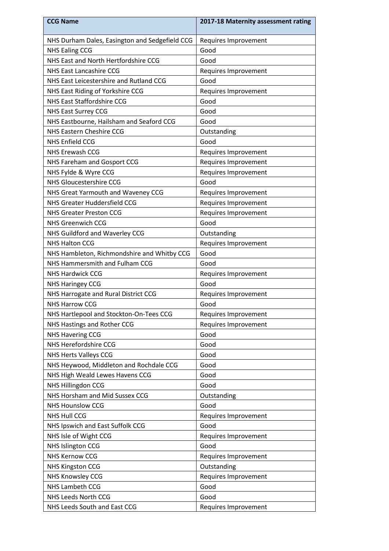| <b>CCG Name</b>                                | 2017-18 Maternity assessment rating |
|------------------------------------------------|-------------------------------------|
| NHS Durham Dales, Easington and Sedgefield CCG | Requires Improvement                |
| <b>NHS Ealing CCG</b>                          | Good                                |
| NHS East and North Hertfordshire CCG           | Good                                |
| NHS East Lancashire CCG                        | Requires Improvement                |
| NHS East Leicestershire and Rutland CCG        | Good                                |
| NHS East Riding of Yorkshire CCG               | Requires Improvement                |
| NHS East Staffordshire CCG                     | Good                                |
| NHS East Surrey CCG                            | Good                                |
| NHS Eastbourne, Hailsham and Seaford CCG       | Good                                |
| NHS Eastern Cheshire CCG                       | Outstanding                         |
| <b>NHS Enfield CCG</b>                         | Good                                |
| <b>NHS Erewash CCG</b>                         | Requires Improvement                |
| NHS Fareham and Gosport CCG                    | Requires Improvement                |
| NHS Fylde & Wyre CCG                           | Requires Improvement                |
| NHS Gloucestershire CCG                        | Good                                |
| NHS Great Yarmouth and Waveney CCG             | Requires Improvement                |
| NHS Greater Huddersfield CCG                   | Requires Improvement                |
| <b>NHS Greater Preston CCG</b>                 | Requires Improvement                |
| NHS Greenwich CCG                              | Good                                |
| NHS Guildford and Waverley CCG                 | Outstanding                         |
| <b>NHS Halton CCG</b>                          | Requires Improvement                |
| NHS Hambleton, Richmondshire and Whitby CCG    | Good                                |
| NHS Hammersmith and Fulham CCG                 | Good                                |
| <b>NHS Hardwick CCG</b>                        | Requires Improvement                |
| <b>NHS Haringey CCG</b>                        | Good                                |
| NHS Harrogate and Rural District CCG           | Requires Improvement                |
| <b>NHS Harrow CCG</b>                          | Good                                |
| NHS Hartlepool and Stockton-On-Tees CCG        | Requires Improvement                |
| NHS Hastings and Rother CCG                    | Requires Improvement                |
| <b>NHS Havering CCG</b>                        | Good                                |
| NHS Herefordshire CCG                          | Good                                |
| <b>NHS Herts Valleys CCG</b>                   | Good                                |
| NHS Heywood, Middleton and Rochdale CCG        | Good                                |
| NHS High Weald Lewes Havens CCG                | Good                                |
| NHS Hillingdon CCG                             | Good                                |
| NHS Horsham and Mid Sussex CCG                 | Outstanding                         |
| <b>NHS Hounslow CCG</b>                        | Good                                |
| <b>NHS Hull CCG</b>                            | Requires Improvement                |
| NHS Ipswich and East Suffolk CCG               | Good                                |
| NHS Isle of Wight CCG                          | Requires Improvement                |
| <b>NHS Islington CCG</b>                       | Good                                |
| <b>NHS Kernow CCG</b>                          | Requires Improvement                |
| <b>NHS Kingston CCG</b>                        | Outstanding                         |
| NHS Knowsley CCG                               | Requires Improvement                |
| NHS Lambeth CCG                                | Good                                |
| NHS Leeds North CCG                            | Good                                |
| NHS Leeds South and East CCG                   | Requires Improvement                |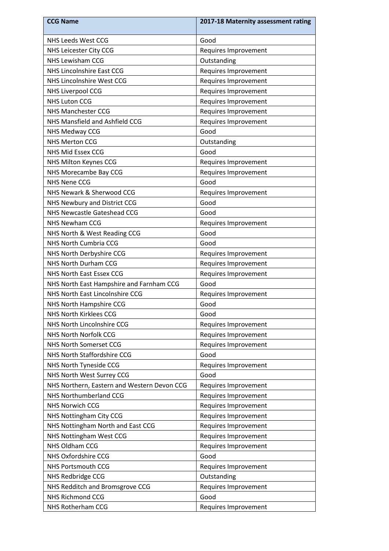| <b>CCG Name</b>                             | 2017-18 Maternity assessment rating |
|---------------------------------------------|-------------------------------------|
| NHS Leeds West CCG                          | Good                                |
| NHS Leicester City CCG                      | Requires Improvement                |
| <b>NHS Lewisham CCG</b>                     | Outstanding                         |
| NHS Lincolnshire East CCG                   | Requires Improvement                |
| NHS Lincolnshire West CCG                   | Requires Improvement                |
| <b>NHS Liverpool CCG</b>                    | Requires Improvement                |
| <b>NHS Luton CCG</b>                        | Requires Improvement                |
| NHS Manchester CCG                          | Requires Improvement                |
| NHS Mansfield and Ashfield CCG              | Requires Improvement                |
| NHS Medway CCG                              | Good                                |
| <b>NHS Merton CCG</b>                       | Outstanding                         |
| NHS Mid Essex CCG                           | Good                                |
| NHS Milton Keynes CCG                       | Requires Improvement                |
| NHS Morecambe Bay CCG                       | Requires Improvement                |
| <b>NHS Nene CCG</b>                         | Good                                |
| NHS Newark & Sherwood CCG                   | Requires Improvement                |
| NHS Newbury and District CCG                | Good                                |
| NHS Newcastle Gateshead CCG                 | Good                                |
| <b>NHS Newham CCG</b>                       | Requires Improvement                |
| NHS North & West Reading CCG                | Good                                |
| NHS North Cumbria CCG                       | Good                                |
| NHS North Derbyshire CCG                    | Requires Improvement                |
| NHS North Durham CCG                        | Requires Improvement                |
| NHS North East Essex CCG                    | Requires Improvement                |
| NHS North East Hampshire and Farnham CCG    | Good                                |
| NHS North East Lincolnshire CCG             | Requires Improvement                |
| NHS North Hampshire CCG                     | Good                                |
| <b>NHS North Kirklees CCG</b>               | Good                                |
| NHS North Lincolnshire CCG                  | Requires Improvement                |
| NHS North Norfolk CCG                       | Requires Improvement                |
| NHS North Somerset CCG                      | Requires Improvement                |
| NHS North Staffordshire CCG                 | Good                                |
| NHS North Tyneside CCG                      | Requires Improvement                |
| NHS North West Surrey CCG                   | Good                                |
| NHS Northern, Eastern and Western Devon CCG | Requires Improvement                |
| NHS Northumberland CCG                      | Requires Improvement                |
| <b>NHS Norwich CCG</b>                      | Requires Improvement                |
| NHS Nottingham City CCG                     | Requires Improvement                |
| NHS Nottingham North and East CCG           | Requires Improvement                |
| NHS Nottingham West CCG                     | Requires Improvement                |
| NHS Oldham CCG                              | Requires Improvement                |
| NHS Oxfordshire CCG                         | Good                                |
| <b>NHS Portsmouth CCG</b>                   | Requires Improvement                |
| NHS Redbridge CCG                           | Outstanding                         |
| NHS Redditch and Bromsgrove CCG             | Requires Improvement                |
| <b>NHS Richmond CCG</b>                     | Good                                |
| NHS Rotherham CCG                           | Requires Improvement                |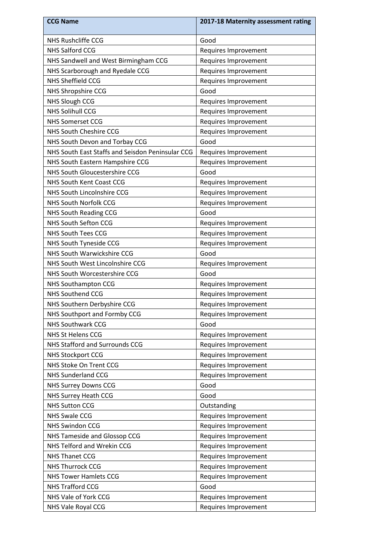| <b>CCG Name</b>                                  | 2017-18 Maternity assessment rating |
|--------------------------------------------------|-------------------------------------|
| <b>NHS Rushcliffe CCG</b>                        | Good                                |
| <b>NHS Salford CCG</b>                           | Requires Improvement                |
| NHS Sandwell and West Birmingham CCG             | Requires Improvement                |
| NHS Scarborough and Ryedale CCG                  | Requires Improvement                |
| <b>NHS Sheffield CCG</b>                         | Requires Improvement                |
| NHS Shropshire CCG                               | Good                                |
| <b>NHS Slough CCG</b>                            | Requires Improvement                |
| <b>NHS Solihull CCG</b>                          | Requires Improvement                |
| <b>NHS Somerset CCG</b>                          | Requires Improvement                |
| NHS South Cheshire CCG                           | Requires Improvement                |
| NHS South Devon and Torbay CCG                   | Good                                |
| NHS South East Staffs and Seisdon Peninsular CCG | Requires Improvement                |
| NHS South Eastern Hampshire CCG                  | Requires Improvement                |
| NHS South Gloucestershire CCG                    | Good                                |
| NHS South Kent Coast CCG                         | Requires Improvement                |
| NHS South Lincolnshire CCG                       | Requires Improvement                |
| <b>NHS South Norfolk CCG</b>                     | Requires Improvement                |
| <b>NHS South Reading CCG</b>                     | Good                                |
| <b>NHS South Sefton CCG</b>                      | Requires Improvement                |
| <b>NHS South Tees CCG</b>                        | Requires Improvement                |
| NHS South Tyneside CCG                           | Requires Improvement                |
| NHS South Warwickshire CCG                       | Good                                |
| NHS South West Lincolnshire CCG                  | Requires Improvement                |
| NHS South Worcestershire CCG                     | Good                                |
| <b>NHS Southampton CCG</b>                       | Requires Improvement                |
| <b>NHS Southend CCG</b>                          | Requires Improvement                |
| NHS Southern Derbyshire CCG                      | Requires Improvement                |
| NHS Southport and Formby CCG                     | Requires Improvement                |
| <b>NHS Southwark CCG</b>                         | Good                                |
| <b>NHS St Helens CCG</b>                         | Requires Improvement                |
| NHS Stafford and Surrounds CCG                   | Requires Improvement                |
| <b>NHS Stockport CCG</b>                         | Requires Improvement                |
| NHS Stoke On Trent CCG                           | Requires Improvement                |
| <b>NHS Sunderland CCG</b>                        | Requires Improvement                |
| <b>NHS Surrey Downs CCG</b>                      | Good                                |
| <b>NHS Surrey Heath CCG</b>                      | Good                                |
| <b>NHS Sutton CCG</b>                            | Outstanding                         |
| <b>NHS Swale CCG</b>                             | Requires Improvement                |
| <b>NHS Swindon CCG</b>                           | Requires Improvement                |
| NHS Tameside and Glossop CCG                     | Requires Improvement                |
| NHS Telford and Wrekin CCG                       | Requires Improvement                |
| <b>NHS Thanet CCG</b>                            | Requires Improvement                |
| <b>NHS Thurrock CCG</b>                          | Requires Improvement                |
| <b>NHS Tower Hamlets CCG</b>                     | Requires Improvement                |
| <b>NHS Trafford CCG</b>                          | Good                                |
| NHS Vale of York CCG                             | Requires Improvement                |
| NHS Vale Royal CCG                               | Requires Improvement                |